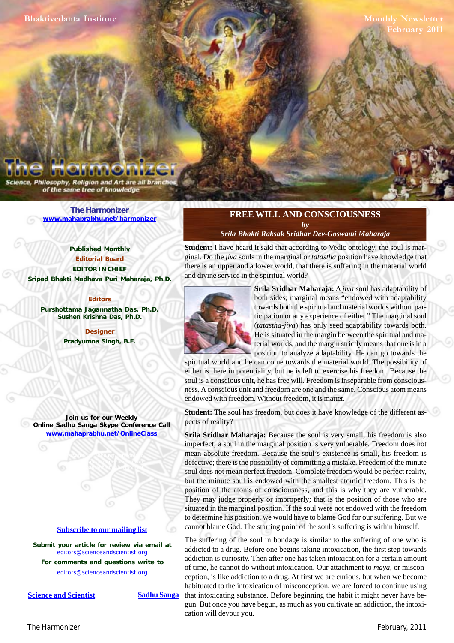**Monthly Newsletter February 2011**

Philosophy, Religion and Art are all brai of the same tree of knowledge

> **[The Harmonizer](http://mahaprabhu.net/harmonizer) www.mahaprabhu.net/harmonizer**

**Published Monthly Editorial Board EDITOR IN CHIEF [Sripad Bhakti Madhava Puri Maharaja, Ph.D.](http://mahaprabhu.net/sadhusanga/blog1.php/2009/10/01/affectionate-guardians)**

**Editors Purshottama Jagannatha Das, Ph.D. Sushen Krishna Das, Ph.D.**

> **Designer Pradyumna Singh, B.E.**

**Join us for our Weekly Online Sadhu Sanga Skype Conference Call www.mahaprabhu.net/OnlineClass**

> www.mahaprabhu.net/harmonizer www.mahapprabhu.net/harmonizer www.mahaprabhu.net/harmonizer

### **<u>Subscribe to our mailing list</u>**

**Submit your article for review via email at** editors@scienceandscientist.org

**For comments and questions write to** editors@scienceandscientist.org

**<u>Science and Scientist</u> Sadhu Sanga** 

## **FREE WILL AND CONSCIOUSNESS** *by*

## *[Srila Bhakti Raksak Sridhar Dev-Goswami Maharaja](http://www.scsmath.com/docs/sridhar_maharaj.html)*

**Student:** I have heard it said that according to Vedic ontology, the soul is marginal. Do the *jiva* souls in the marginal or *tatastha* position have knowledge that there is an upper and a lower world, that there is suffering in the material world and divine service in the spiritual world?



 . **Srila Sridhar Maharaja:** A *jiva* soul has adaptability of both sides; marginal means "endowed with adaptability towards both the spiritual and material worlds without participation or any experience of either." The marginal soul (*tatastha-jiva*) has only seed adaptability towards both. He is situated in the margin between the spiritual and material worlds, and the margin strictly means that one is in a position to analyze adaptability. He can go towards the

spiritual world and he can come towards the material world. The possibility of either is there in potentiality, but he is left to exercise his freedom. Because the soul is a conscious unit, he has free will. Freedom is inseparable from consciousness. A conscious unit and freedom are one and the same. Conscious atom means endowed with freedom. Without freedom, it is matter.

**Student:** The soul has freedom, but does it have knowledge of the different aspects of reality?

**Srila Sridhar Maharaja:** Because the soul is very small, his freedom is also imperfect; a soul in the marginal position is very vulnerable. Freedom does not mean absolute freedom. Because the soul's existence is small, his freedom is defective; there is the possibility of committing a mistake. Freedom of the minute soul does not mean perfect freedom. Complete freedom would be perfect reality, but the minute soul is endowed with the smallest atomic freedom. This is the position of the atoms of consciousness, and this is why they are vulnerable. They may judge properly or improperly; that is the position of those who are situated in the marginal position. If the soul were not endowed with the freedom to determine his position, we would have to blame God for our suffering. But we cannot blame God. The starting point of the soul's suffering is within himself.

The suffering of the soul in bondage is similar to the suffering of one who is addicted to a drug. Before one begins taking intoxication, the first step towards addiction is curiosity. Then after one has taken intoxication for a certain amount of time, he cannot do without intoxication. Our attachment to *maya*, or misconception, is like addiction to a drug. At first we are curious, but when we become habituated to the intoxication of misconception, we are forced to continue using that intoxicating substance. Before beginning the habit it might never have begun. But once you have begun, as much as you cultivate an addiction, the intoxication will devour you.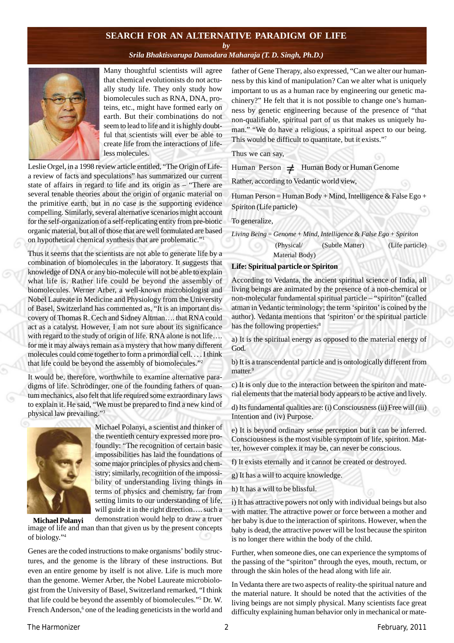## **SEARCH FOR AN ALTERNATIVE PARADIGM OF LIFE**

## *by*

## *[Srila Bhaktisvarupa Damodara Maharaja \(T. D. Singh, Ph.D.\)](http://mahaprabhu.net/sadhusanga/blog1.php/2009/10/01/affectionate-guardians)*



Many thoughtful scientists will agree that chemical evolutionists do not actually study life. They only study how biomolecules such as RNA, DNA, proteins, etc., might have formed early on earth. But their combinations do not seem to lead to life and it is highly doubtful that scientists will ever be able to create life from the interactions of lifeless molecules.

Leslie Orgel, in a 1998 review article entitled, "The Origin of Lifea review of facts and speculations" has summarized our current state of affairs in regard to life and its origin as – "There are several tenable theories about the origin of organic material on the primitive earth, but in no case is the supporting evidence compelling. Similarly, several alternative scenarios might account for the self-organization of a self-replicating entity from pre-biotic organic material, but all of those that are well formulated are based on hypothetical chemical synthesis that are problematic."1

Thus it seems that the scientists are not able to generate life by a combination of biomolecules in the laboratory. It suggests that knowledge of DNA or any bio-molecule will not be able to explain what life is. Rather life could be beyond the assembly of biomolecules. Werner Arber, a well-known microbiologist and Nobel Laureate in Medicine and Physiology from the University of Basel, Switzerland has commented as, "It is an important discovery of Thomas R. Cech and Sidney Altman…. that RNA could act as a catalyst. However, I am not sure about its significance with regard to the study of origin of life. RNA alone is not life…. for me it may always remain as a mystery that how many different molecules could come together to form a primordial cell. . . . I think that life could be beyond the assembly of biomolecules."2

It would be, therefore, worthwhile to examine alternative paradigms of life. Schrödinger, one of the founding fathers of quantum mechanics, also felt that life required some extraordinary laws to explain it. He said, "We must be prepared to find a new kind of physical law prevailing."3



Michael Polanyi, a scientist and thinker of the twentieth century expressed more profoundly: "The recognition of certain basic impossibilities has laid the foundations of some major principles of physics and chemistry; similarly, recognition of the impossibility of understanding living things in terms of physics and chemistry, far from setting limits to our understanding of life, will guide it in the right direction…. such a

demonstration would help to draw a truer image of life and man than that given us by the present concepts of biology."4 **Michael Polanyi**

Genes are the coded instructions to make organisms' bodily structures, and the genome is the library of these instructions. But even an entire genome by itself is not alive. Life is much more than the genome. Werner Arber, the Nobel Laureate microbiologist from the University of Basel, Switzerland remarked, "I think that life could be beyond the assembly of biomolecules."5 Dr. W. French Anderson,<sup>6</sup> one of the leading geneticists in the world and

father of Gene Therapy, also expressed, "Can we alter our humanness by this kind of manipulation? Can we alter what is uniquely important to us as a human race by engineering our genetic machinery?" He felt that it is not possible to change one's humanness by genetic engineering because of the presence of "that non-qualifiable, spiritual part of us that makes us uniquely human." "We do have a religious, a spiritual aspect to our being. This would be difficult to quantitate, but it exists."7

Thus we can say,

## Human Person  $\pm$  Human Body or Human Genome

Rather, according to Vedantic world view,

Human Person = Human Body + Mind, Intelligence & False Ego + Spiriton (Life particle)

#### To generalize,

*Living Being* = *Genome* + *Mind, Intelligence* & *False Ego* + *Spiriton*

| (Physical/     | (Subtle Matter) | (Life particle) |
|----------------|-----------------|-----------------|
| Material Body) |                 |                 |

## **Life: Spiritual particle or Spiriton**

According to Vedanta, the ancient spiritual science of India, all living beings are animated by the presence of a non-chemical or non-molecular fundamental spiritual particle – "spiriton" (called atman in Vedantic terminology; the term 'spiriton' is coined by the author). Vedanta mentions that 'spiriton' or the spiritual particle has the following properties:<sup>8</sup>

a) It is the spiritual energy as opposed to the material energy of God.

b) It is a transcendental particle and is ontologically different from matter.<sup>9</sup>

c) It is only due to the interaction between the spiriton and material elements that the material body appears to be active and lively.

d) Its fundamental qualities are: (i) Consciousness (ii) Free will (iii) Intention and (iv) Purpose.

e) It is beyond ordinary sense perception but it can be inferred. Consciousness is the most visible symptom of life, spiriton. Matter, however complex it may be, can never be conscious.

f) It exists eternally and it cannot be created or destroyed.

g) It has a will to acquire knowledge.

h) It has a will to be blissful.

i) It has attractive powers not only with individual beings but also with matter. The attractive power or force between a mother and her baby is due to the interaction of spiritons. However, when the baby is dead, the attractive power will be lost because the spiriton is no longer there within the body of the child.

Further, when someone dies, one can experience the symptoms of the passing of the "spiriton" through the eyes, mouth, rectum, or through the skin holes of the head along with life air.

In Vedanta there are two aspects of reality-the spiritual nature and the material nature. It should be noted that the activities of the living beings are not simply physical. Many scientists face great difficulty explaining human behavior only in mechanical or mate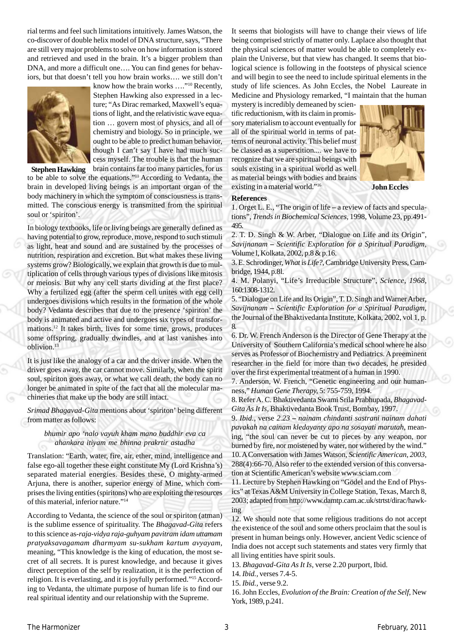rial terms and feel such limitations intuitively. James Watson, the co-discover of double helix model of DNA structure, says, "There are still very major problems to solve on how information is stored and retrieved and used in the brain. It's a bigger problem than DNA, and more a difficult one…. You can find genes for behaviors, but that doesn't tell you how brain works…. we still don't



know how the brain works …."10 Recently, Stephen Hawking also expressed in a lecture; "As Dirac remarked, Maxwell's equations of light, and the relativistic wave equation … govern most of physics, and all of chemistry and biology. So in principle, we ought to be able to predict human behavior, though I can't say I have had much success myself. The trouble is that the human

Stephen Hawking brain contains far too many particles, for us to be able to solve the equations."11 According to Vedanta, the brain in developed living beings is an important organ of the body machinery in which the symptom of consciousness is transmitted. The conscious energy is transmitted from the spiritual soul or 'spiriton'.

In biology textbooks, life or living beings are generally defined as having potential to grow, reproduce, move, respond to such stimuli as light, heat and sound and are sustained by the processes of nutrition, respiration and excretion. But what makes these living systems grow? Biologically, we explain that growth is due to multiplication of cells through various types of divisions like mitosis or meiosis. But why any cell starts dividing at the first place? Why a fertilized egg (after the sperm cell unites with egg cell) undergoes divisions which results in the formation of the whole body? Vedanta describes that due to the presence 'spiriton' the body is animated and active and undergoes six types of transformations.12 It takes birth, lives for some time, grows, produces some offspring, gradually dwindles, and at last vanishes into oblivion.13

It is just like the analogy of a car and the driver inside. When the driver goes away, the car cannot move. Similarly, when the spirit soul, spiriton goes away, or what we call death, the body can no longer be animated in spite of the fact that all the molecular machineries that make up the body are still intact.

*Srimad Bhagavad-Gita* mentions about 'spiriton' being different from matter as follows:

## *bhumir apo 'nalo vayuh kham mano buddhir eva ca ahankara itiyam me bhinna prakrtir astadha*

Translation: "Earth, water, fire, air, ether, mind, intelligence and false ego-all together these eight constitute My (Lord Krishna's) separated material energies. Besides these, O mighty-armed Arjuna, there is another, superior energy of Mine, which comprises the living entities (spiritons) who are exploiting the resources of this material, inferior nature."14

According to Vedanta, the science of the soul or spiriton (atman) is the sublime essence of spirituality. The *Bhagavad-Gita* refers to this science as-*raja-vidya raja-guhyam pavitram idam uttamam pratyaksavagamam dharmyam su-sukham kartum avyayam*, meaning, "This knowledge is the king of education, the most secret of all secrets. It is purest knowledge, and because it gives direct perception of the self by realization, it is the perfection of religion. It is everlasting, and it is joyfully performed."15 According to Vedanta, the ultimate purpose of human life is to find our real spiritual identity and our relationship with the Supreme.

It seems that biologists will have to change their views of life being comprised strictly of matter only. Laplace also thought that the physical sciences of matter would be able to completely explain the Universe, but that view has changed. It seems that biological science is following in the footsteps of physical science and will begin to see the need to include spiritual elements in the study of life sciences. As John Eccles, the Nobel Laureate in Medicine and Physiology remarked, "I maintain that the human

mystery is incredibly demeaned by scientific reductionism, with its claim in promissory materialism to account eventually for all of the spiritual world in terms of patterns of neuronal activity. This belief must be classed as a superstition.... we have to recognize that we are spiritual beings with souls existing in a spiritual world as well as material beings with bodies and brains existing in a material world."16



**John Eccles**

### **References**

1. Orget L. E., "The origin of life **–** a review of facts and speculations", *Trends in Biochemical Sciences,* 1998, Volume 23, pp.491- 495.

2. T. D. Singh & W. Arber, "Dialogue on Life and its Origin", *Savijnanam* **–** *Scientific Exploration for a Spiritual Paradigm,* Volume l, Kolkata, 2002, p.8 & p.16.

3. E. Schrodinger, *What* is *Life?,* Cambridge University Press, Cambridge, 1944, p.8l.

4. M. Polanyi, "Life's Irreducible Structure", *Science, 1968,* 160:1308-1312.

5. "Dialogue on Life and Its Origin", T. D. Singh and Warner Arber, *Savijnanam* **–** *Scientific Exploration for a Spiritual Paradigm,* the Journal of the Bhaktivedanta Institute, Kolkata, 2002, vol 1, p. 8.

6. Dr. W. French Anderson is the Director of Gene Therapy at the University of Southern California's medical school where he also serves as Professor of Biochemistry and Pediatrics. A preeminent researcher in the field for more than two decades, he presided over the first experimental treatment of a human in 1990.

7. Anderson, W. French, "Genetic engineering and our humanness," *Human Gene Therapy,* 5: 755-759, 1994.

8. Refer A. C. Bhaktivedanta Swami Srila Prabhupada, *Bhagavad-Gita As It Is,* Bhaktivedanta Book Trust, Bombay, 1997.

9. *Ibid.,* verse *2.23* **–** *nainam chindanti sastrani nainam dahati pavakah na cainam kledayanty apo na sosayati marutah*, meaning, "the soul can never be cut to pieces by any weapon, nor burned by fire, nor moistened by water, nor withered by the wind." 10. A Conversation with James Watson, *Scientific American, 2003,* 288(4):66-70. Also refer to the extended version of this conversation at Scientific American's website www.sciam.com

11. Lecture by Stephen Hawking on "Gödel and the End of Physics" at Texas A&M University in College Station, Texas, March 8, 2003; adapted from http://www.damtp.cam.ac.uk/strtst/dirac/hawking

12. We should note that some religious traditions do not accept the existence of the soul and some others proclaim that the soul is present in human beings only. However, ancient Vedic science of India does not accept such statements and states very firmly that all living entities have spirit souls.

13. *Bhagavad-Gita As It Is*, verse 2.20 purport, Ibid.

14. *Ibid.,* verses 7.4-5.

15. *Ibid.,* verse 9.2.

16. John Eccles, *Evolution of the Brain: Creation of the Self,* New York, 1989, p.241.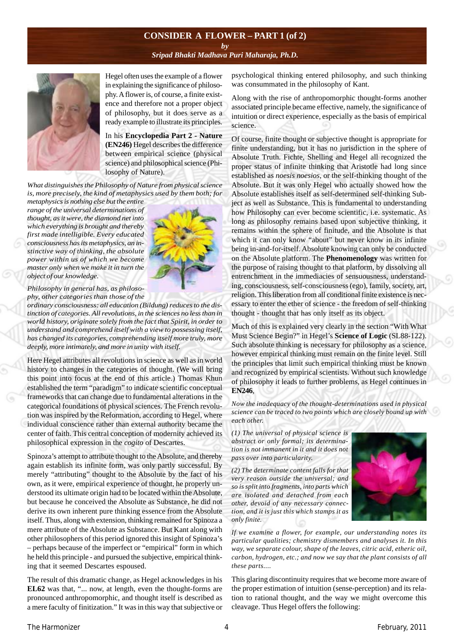## **CONSIDER A FLOWER – PART 1 (of 2)**

*by*

*[Sripad Bhakti Madhava Puri Maharaja, Ph.D.](http://mahaprabhu.net/sadhusanga/blog1.php/2009/10/01/affectionate-guardians)*



Hegel often uses the example of a flower in explaining the significance of philosophy. A flower is, of course, a finite existence and therefore not a proper object of philosophy, but it does serve as a ready example to illustrate its principles.

In his **Encyclopedia Part 2 - Nature (EN246)** Hegel describes the difference between empirical science (physical science) and philosophical science (Philosophy of Nature).

*What distinguishes the Philosophy of Nature from physical science is, more precisely, the kind of metaphysics used by them both; for*

*metaphysics is nothing else but the entire range of the universal determinations of thought, as it were, the diamond net into which everything is brought and thereby first made intelligible. Every educated consciousness has its metaphysics, an instinctive way of thinking, the absolute power within us of which we become master only when we make it in turn the object of our knowledge.*



*Philosophy in general has, as philosophy, other categories than those of the*

*ordinary consciousness: all education (Bildung) reduces to the distinction of categories. All revolutions, in the sciences no less than in world history, originate solely from the fact that Spirit, in order to understand and comprehend itself with a view to possessing itself, has changed its categories, comprehending itself more truly, more deeply, more intimately, and more in unity with itself.*

Here Hegel attributes all revolutions in science as well as in world history to changes in the categories of thought. (We will bring this point into focus at the end of this article.) Thomas Khun established the term "paradigm" to indicate scientific conceptual frameworks that can change due to fundamental alterations in the categorical foundations of physical sciences. The French revolution was inspired by the Reformation, according to Hegel, where individual conscience rather than external authority became the center of faith. This central conception of modernity achieved its philosophical expression in the *cogito* of Descartes.

Spinoza's attempt to attribute thought to the Absolute, and thereby again establish its infinite form, was only partly successful. By merely "attributing" thought to the Absolute by the fact of his own, as it were, empirical experience of thought, he properly understood its ultimate origin had to be located within the Absolute, but because he conceived the Absolute as Substance, he did not derive its own inherent pure thinking essence from the Absolute itself. Thus, along with extension, thinking remained for Spinoza a mere attribute of the Absolute as Substance. But Kant along with other philosophers of this period ignored this insight of Spinoza's – perhaps because of the imperfect or "empirical" form in which he held this principle - and pursued the subjective, empirical thinking that it seemed Descartes espoused.

The result of this dramatic change, as Hegel acknowledges in his **EL62** was that, "... now, at length, even the thought-forms are pronounced anthropomorphic, and thought itself is described as a mere faculty of finitization." It was in this way that subjective or psychological thinking entered philosophy, and such thinking was consummated in the philosophy of Kant.

Along with the rise of anthropomorphic thought-forms another associated principle became effective, namely, the significance of intuition or direct experience, especially as the basis of empirical science.

Of course, finite thought or subjective thought is appropriate for finite understanding, but it has no jurisdiction in the sphere of Absolute Truth. Fichte, Shelling and Hegel all recognized the proper status of infinite thinking that Aristotle had long since established as *noesis noesios*, or the self-thinking thought of the Absolute. But it was only Hegel who actually showed how the Absolute establishes itself as self-determined self-thinking Subject as well as Substance. This is fundamental to understanding how Philosophy can ever become scientific, i.e. systematic. As long as philosophy remains based upon subjective thinking, it remains within the sphere of finitude, and the Absolute is that which it can only know "about" but never know in its infinite being in-and-for-itself. Absolute knowing can only be conducted on the Absolute platform. The **Phenomenology** was written for the purpose of raising thought to that platform, by dissolving all entrenchment in the immediacies of sensuousness, understanding, consciousness, self-consciousness (ego), family, society, art, religion. This liberation from all conditional finite existence is necessary to enter the ether of science - the freedom of self-thinking thought - thought that has only itself as its object.

Much of this is explained very clearly in the section "With What Must Science Begin?" in Hegel's **Science of Logic** (SL88-122). Such absolute thinking is necessary for philosophy as a science, however empirical thinking must remain on the finite level. Still the principles that limit such empirical thinking must be known and recognized by empirical scientists. Without such knowledge of philosophy it leads to further problems, as Hegel continues in **EN246**,

*Now the inadequacy of the thought-determinations used in physical science can be traced to two points which are closely bound up with each other.*

*(1) The universal of physical science is abstract or only formal; its determination is not immanent in it and it does not pass over into particularity.*

*(2) The determinate content falls for that very reason outside the universal; and so is split into fragments, into parts which are isolated and detached from each other, devoid of any necessary connection, and it is just this which stamps it as only finite.*



*If we examine a flower, for example, our understanding notes its particular qualities; chemistry dismembers and analyses it. In this way, we separate colour, shape of the leaves, citric acid, etheric oil, carbon, hydrogen, etc.; and now we say that the plant consists of all these parts....*

This glaring discontinuity requires that we become more aware of the proper estimation of intuition (sense-perception) and its relation to rational thought, and the way we might overcome this cleavage. Thus Hegel offers the following: